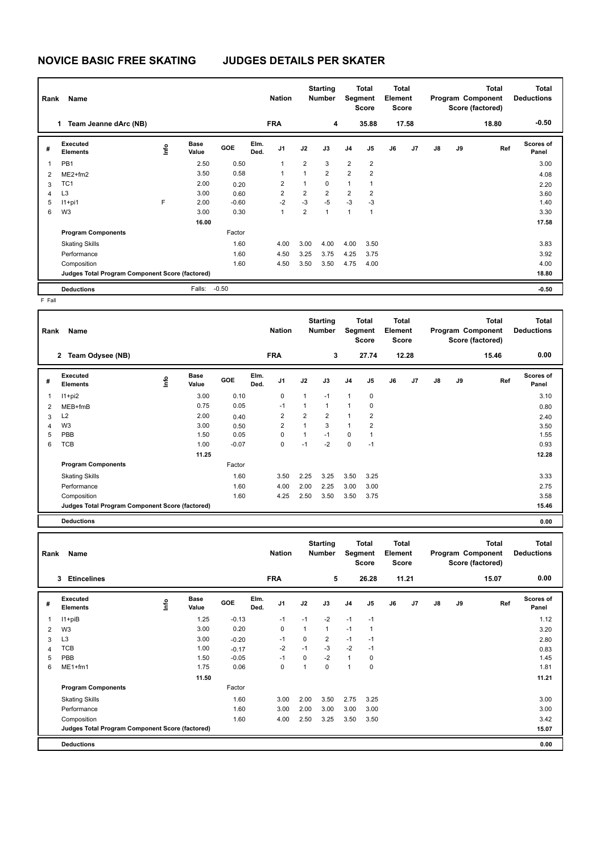## **NOVICE BASIC FREE SKATING JUDGES DETAILS PER SKATER**

| Rank           | Name                                            |      |                      |            |              | <b>Nation</b>  |                | <b>Starting</b><br><b>Number</b> | Segment        | Total<br><b>Score</b> | <b>Total</b><br>Element<br><b>Score</b> |       |               |    | <b>Total</b><br>Program Component<br>Score (factored) | <b>Total</b><br><b>Deductions</b> |
|----------------|-------------------------------------------------|------|----------------------|------------|--------------|----------------|----------------|----------------------------------|----------------|-----------------------|-----------------------------------------|-------|---------------|----|-------------------------------------------------------|-----------------------------------|
|                | Team Jeanne dArc (NB)<br>1.                     |      |                      |            |              | <b>FRA</b>     |                | 4                                |                | 35.88                 |                                         | 17.58 |               |    | 18.80                                                 | $-0.50$                           |
| #              | Executed<br><b>Elements</b>                     | lnfo | <b>Base</b><br>Value | <b>GOE</b> | Elm.<br>Ded. | J <sub>1</sub> | J2             | J3                               | J <sub>4</sub> | J5                    | J6                                      | J7    | $\mathsf{J}8$ | J9 | Ref                                                   | Scores of<br>Panel                |
| $\overline{1}$ | PB1                                             |      | 2.50                 | 0.50       |              | 1              | $\overline{2}$ | 3                                | $\overline{2}$ | $\overline{2}$        |                                         |       |               |    |                                                       | 3.00                              |
| $\overline{2}$ | $ME2+fm2$                                       |      | 3.50                 | 0.58       |              | 1              | $\mathbf{1}$   | $\overline{2}$                   | $\overline{2}$ | $\overline{2}$        |                                         |       |               |    |                                                       | 4.08                              |
| 3              | TC <sub>1</sub>                                 |      | 2.00                 | 0.20       |              | $\overline{2}$ | 1              | $\mathbf 0$                      | 1              | 1                     |                                         |       |               |    |                                                       | 2.20                              |
| 4              | L <sub>3</sub>                                  |      | 3.00                 | 0.60       |              | $\overline{2}$ | $\overline{2}$ | $\overline{2}$                   | $\overline{2}$ | $\overline{2}$        |                                         |       |               |    |                                                       | 3.60                              |
| 5              | $11+pi1$                                        | E    | 2.00                 | $-0.60$    |              | $-2$           | $-3$           | $-5$                             | $-3$           | $-3$                  |                                         |       |               |    |                                                       | 1.40                              |
| 6              | W <sub>3</sub>                                  |      | 3.00                 | 0.30       |              | 1              | $\overline{2}$ | 1                                | $\overline{1}$ | 1                     |                                         |       |               |    |                                                       | 3.30                              |
|                |                                                 |      | 16.00                |            |              |                |                |                                  |                |                       |                                         |       |               |    |                                                       | 17.58                             |
|                | <b>Program Components</b>                       |      |                      | Factor     |              |                |                |                                  |                |                       |                                         |       |               |    |                                                       |                                   |
|                | <b>Skating Skills</b>                           |      |                      | 1.60       |              | 4.00           | 3.00           | 4.00                             | 4.00           | 3.50                  |                                         |       |               |    |                                                       | 3.83                              |
|                | Performance                                     |      |                      | 1.60       |              | 4.50           | 3.25           | 3.75                             | 4.25           | 3.75                  |                                         |       |               |    |                                                       | 3.92                              |
|                | Composition                                     |      |                      | 1.60       |              | 4.50           | 3.50           | 3.50                             | 4.75           | 4.00                  |                                         |       |               |    |                                                       | 4.00                              |
|                | Judges Total Program Component Score (factored) |      |                      |            |              |                |                |                                  |                |                       |                                         |       |               |    |                                                       | 18.80                             |
|                | <b>Deductions</b>                               |      | Falls:               | $-0.50$    |              |                |                |                                  |                |                       |                                         |       |               |    |                                                       | $-0.50$                           |

F Fall

|   | Name<br>Rank                                    |      |               |            | <b>Nation</b> |            | <b>Starting</b><br>Number |                | Total<br>Segment<br><b>Score</b> |                | Total<br>Element<br><b>Score</b> |       | <b>Total</b><br>Program Component<br>Score (factored) |    |       | <b>Total</b><br><b>Deductions</b> |
|---|-------------------------------------------------|------|---------------|------------|---------------|------------|---------------------------|----------------|----------------------------------|----------------|----------------------------------|-------|-------------------------------------------------------|----|-------|-----------------------------------|
|   | 2 Team Odysee (NB)                              |      |               |            |               | <b>FRA</b> |                           | 3              |                                  | 27.74          |                                  | 12.28 |                                                       |    | 15.46 | 0.00                              |
| # | Executed<br><b>Elements</b>                     | lnfo | Base<br>Value | <b>GOE</b> | Elm.<br>Ded.  | J1         | J2                        | J3             | J <sub>4</sub>                   | J5             | J6                               | J7    | J8                                                    | J9 | Ref   | <b>Scores of</b><br>Panel         |
| 1 | $11+pi2$                                        |      | 3.00          | 0.10       |               | 0          | 1                         | $-1$           | $\mathbf{1}$                     | 0              |                                  |       |                                                       |    |       | 3.10                              |
| 2 | $MEB+fmB$                                       |      | 0.75          | 0.05       |               | $-1$       | 1                         | 1              | $\mathbf{1}$                     | 0              |                                  |       |                                                       |    |       | 0.80                              |
| 3 | L <sub>2</sub>                                  |      | 2.00          | 0.40       |               | 2          | $\overline{2}$            | $\overline{2}$ | $\mathbf{1}$                     | $\overline{2}$ |                                  |       |                                                       |    |       | 2.40                              |
| 4 | W3                                              |      | 3.00          | 0.50       |               | 2          | 1                         | 3              | $\mathbf{1}$                     | $\overline{2}$ |                                  |       |                                                       |    |       | 3.50                              |
| 5 | PBB                                             |      | 1.50          | 0.05       |               | 0          | 1                         | $-1$           | 0                                | $\mathbf{1}$   |                                  |       |                                                       |    |       | 1.55                              |
| 6 | <b>TCB</b>                                      |      | 1.00          | $-0.07$    |               | 0          | $-1$                      | $-2$           | $\mathbf 0$                      | $-1$           |                                  |       |                                                       |    |       | 0.93                              |
|   |                                                 |      | 11.25         |            |               |            |                           |                |                                  |                |                                  |       |                                                       |    |       | 12.28                             |
|   | <b>Program Components</b>                       |      |               | Factor     |               |            |                           |                |                                  |                |                                  |       |                                                       |    |       |                                   |
|   | <b>Skating Skills</b>                           |      |               | 1.60       |               | 3.50       | 2.25                      | 3.25           | 3.50                             | 3.25           |                                  |       |                                                       |    |       | 3.33                              |
|   | Performance                                     |      |               | 1.60       |               | 4.00       | 2.00                      | 2.25           | 3.00                             | 3.00           |                                  |       |                                                       |    |       | 2.75                              |
|   | Composition                                     |      |               | 1.60       |               | 4.25       | 2.50                      | 3.50           | 3.50                             | 3.75           |                                  |       |                                                       |    |       | 3.58                              |
|   | Judges Total Program Component Score (factored) |      |               |            |               |            |                           |                |                                  |                |                                  |       |                                                       |    |       | 15.46                             |

**Deductions 0.00**

| Name<br>Rank   |                                                 |      |                      |         | <b>Nation</b> |                | <b>Starting</b><br><b>Number</b> |                | <b>Total</b><br>Segment<br><b>Score</b> |                | <b>Total</b><br>Element<br><b>Score</b><br>11.21 |                | Total<br>Program Component<br>Score (factored) |    |       | <b>Total</b><br><b>Deductions</b> |
|----------------|-------------------------------------------------|------|----------------------|---------|---------------|----------------|----------------------------------|----------------|-----------------------------------------|----------------|--------------------------------------------------|----------------|------------------------------------------------|----|-------|-----------------------------------|
|                | <b>Etincelines</b><br>3                         |      |                      |         |               | <b>FRA</b>     |                                  | 5              |                                         | 26.28          |                                                  |                |                                                |    | 15.07 | 0.00                              |
| #              | Executed<br><b>Elements</b>                     | ١nf٥ | <b>Base</b><br>Value | GOE     | Elm.<br>Ded.  | J <sub>1</sub> | J2                               | J3             | J <sub>4</sub>                          | J <sub>5</sub> | J6                                               | J <sub>7</sub> | $\mathsf{J}8$                                  | J9 | Ref   | Scores of<br>Panel                |
| 1              | $11 + piB$                                      |      | 1.25                 | $-0.13$ |               | $-1$           | $-1$                             | $-2$           | $-1$                                    | $-1$           |                                                  |                |                                                |    |       | 1.12                              |
| 2              | W <sub>3</sub>                                  |      | 3.00                 | 0.20    |               | 0              | 1                                | $\mathbf{1}$   | $-1$                                    | 1              |                                                  |                |                                                |    |       | 3.20                              |
| 3              | L <sub>3</sub>                                  |      | 3.00                 | $-0.20$ |               | -1             | $\mathbf 0$                      | $\overline{2}$ | $-1$                                    | $-1$           |                                                  |                |                                                |    |       | 2.80                              |
| $\overline{4}$ | <b>TCB</b>                                      |      | 1.00                 | $-0.17$ |               | $-2$           | $-1$                             | $-3$           | $-2$                                    | $-1$           |                                                  |                |                                                |    |       | 0.83                              |
| 5              | PBB                                             |      | 1.50                 | $-0.05$ |               | $-1$           | 0                                | $-2$           | $\mathbf{1}$                            | 0              |                                                  |                |                                                |    |       | 1.45                              |
| 6              | ME1+fm1                                         |      | 1.75                 | 0.06    |               | 0              | 1                                | 0              | $\overline{1}$                          | 0              |                                                  |                |                                                |    |       | 1.81                              |
|                |                                                 |      | 11.50                |         |               |                |                                  |                |                                         |                |                                                  |                |                                                |    |       | 11.21                             |
|                | <b>Program Components</b>                       |      |                      | Factor  |               |                |                                  |                |                                         |                |                                                  |                |                                                |    |       |                                   |
|                | <b>Skating Skills</b>                           |      |                      | 1.60    |               | 3.00           | 2.00                             | 3.50           | 2.75                                    | 3.25           |                                                  |                |                                                |    |       | 3.00                              |
|                | Performance                                     |      |                      | 1.60    |               | 3.00           | 2.00                             | 3.00           | 3.00                                    | 3.00           |                                                  |                |                                                |    |       | 3.00                              |
|                | Composition                                     |      |                      | 1.60    |               | 4.00           | 2.50                             | 3.25           | 3.50                                    | 3.50           |                                                  |                |                                                |    |       | 3.42                              |
|                | Judges Total Program Component Score (factored) |      |                      |         |               |                |                                  |                |                                         |                |                                                  |                |                                                |    |       | 15.07                             |
|                | <b>Deductions</b>                               |      |                      |         |               |                |                                  |                |                                         |                |                                                  |                |                                                |    |       | 0.00                              |